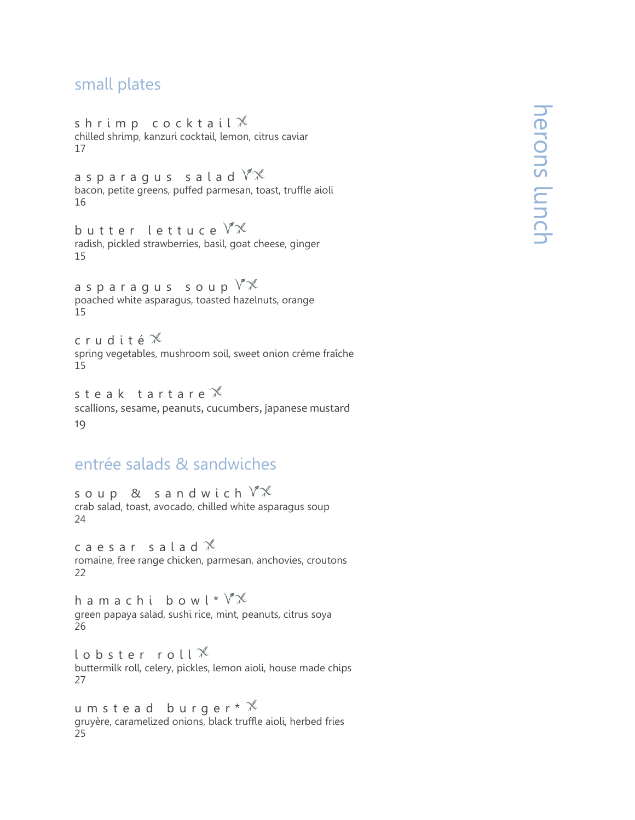## small plates

shrimp cocktail $\mathbb X$ chilled shrimp, kanzuri cocktail, lemon, citrus caviar 17

a sparaqus salad  $\sqrt[n]{x}$ bacon, petite greens, puffed parmesan, toast, truffle aioli 16

butter lettuce  $\sqrt[n]{x}$ radish, pickled strawberries, basil, goat cheese, ginger 15

asparagus soup  $\mathbb{V}\mathbb{X}$ poached white asparagus, toasted hazelnuts, orange 15

c r u d i t é  $\mathbb X$ spring vegetables, mushroom soil, sweet onion crème fraîche 15

steak tartare $\mathscr X$ scallions, sesame, peanuts, cucumbers, japanese mustard 19

## entrée salads & sandwiches

soup & sandwich  $\sqrt[n]{x}$ crab salad, toast, avocado, chilled white asparagus soup 24

caesar salad $\mathcal X$ romaine, free range chicken, parmesan, anchovies, croutons 22

h a m a c h i b o w  $\ell * V^*$ green papaya salad, sushi rice, mint, peanuts, citrus soya 26

l o b s t e r r o l  $\ell$ buttermilk roll, celery, pickles, lemon aioli, house made chips 27

u m s t e a d b u r g e r  $*$   $*$ gruyère, caramelized onions, black truffle aioli, herbed fries 25